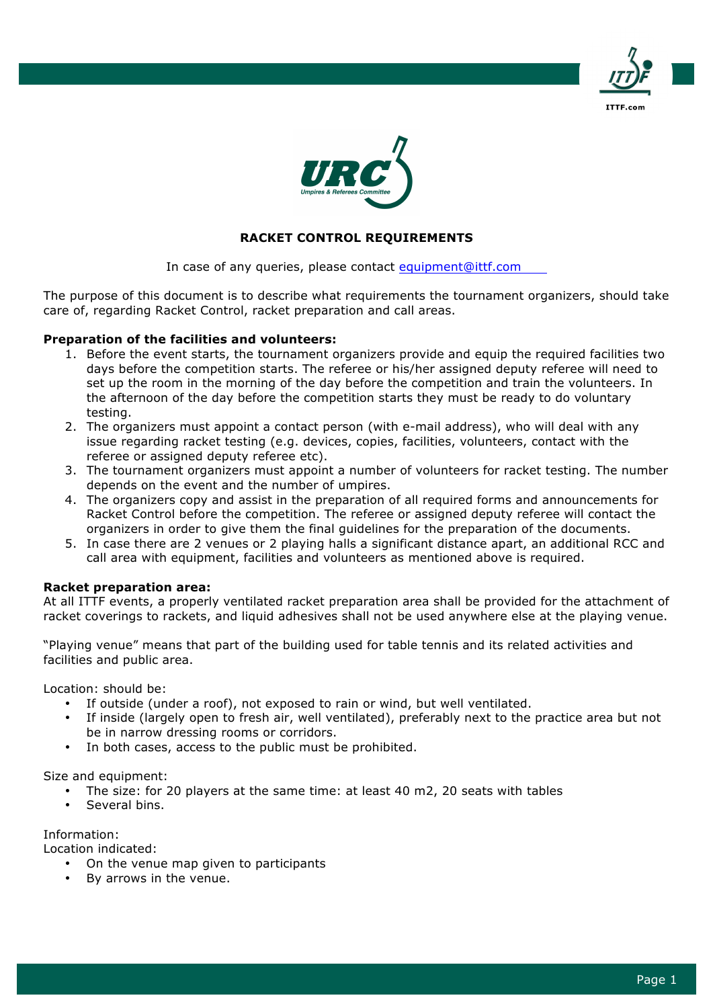



# **RACKET CONTROL REQUIREMENTS**

In case of any queries, please contact equipment@ittf.com

The purpose of this document is to describe what requirements the tournament organizers, should take care of, regarding Racket Control, racket preparation and call areas.

### **Preparation of the facilities and volunteers:**

- 1. Before the event starts, the tournament organizers provide and equip the required facilities two days before the competition starts. The referee or his/her assigned deputy referee will need to set up the room in the morning of the day before the competition and train the volunteers. In the afternoon of the day before the competition starts they must be ready to do voluntary testing.
- 2. The organizers must appoint a contact person (with e-mail address), who will deal with any issue regarding racket testing (e.g. devices, copies, facilities, volunteers, contact with the referee or assigned deputy referee etc).
- 3. The tournament organizers must appoint a number of volunteers for racket testing. The number depends on the event and the number of umpires.
- 4. The organizers copy and assist in the preparation of all required forms and announcements for Racket Control before the competition. The referee or assigned deputy referee will contact the organizers in order to give them the final guidelines for the preparation of the documents.
- 5. In case there are 2 venues or 2 playing halls a significant distance apart, an additional RCC and call area with equipment, facilities and volunteers as mentioned above is required.

### **Racket preparation area:**

At all ITTF events, a properly ventilated racket preparation area shall be provided for the attachment of racket coverings to rackets, and liquid adhesives shall not be used anywhere else at the playing venue.

"Playing venue" means that part of the building used for table tennis and its related activities and facilities and public area.

Location: should be:

- If outside (under a roof), not exposed to rain or wind, but well ventilated.
- If inside (largely open to fresh air, well ventilated), preferably next to the practice area but not be in narrow dressing rooms or corridors.
- In both cases, access to the public must be prohibited.

Size and equipment:

- The size: for 20 players at the same time: at least 40 m2, 20 seats with tables
- Several bins.

Information:

Location indicated:

- On the venue map given to participants
- By arrows in the venue.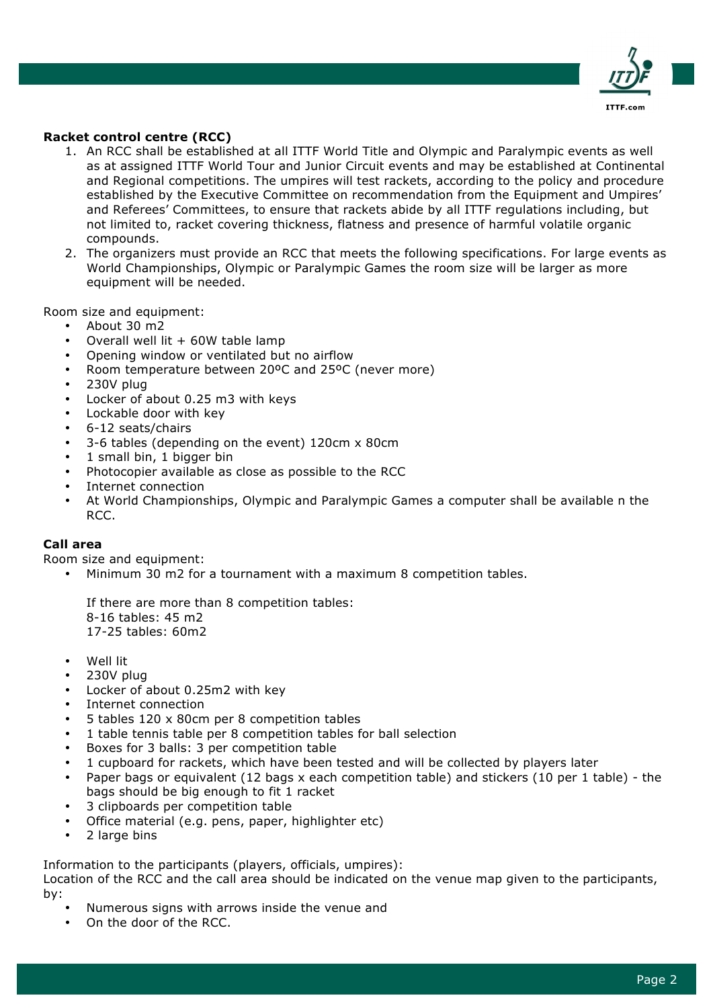

## **Racket control centre (RCC)**

- 1. An RCC shall be established at all ITTF World Title and Olympic and Paralympic events as well as at assigned ITTF World Tour and Junior Circuit events and may be established at Continental and Regional competitions. The umpires will test rackets, according to the policy and procedure established by the Executive Committee on recommendation from the Equipment and Umpires' and Referees' Committees, to ensure that rackets abide by all ITTF regulations including, but not limited to, racket covering thickness, flatness and presence of harmful volatile organic compounds.
- 2. The organizers must provide an RCC that meets the following specifications. For large events as World Championships, Olympic or Paralympic Games the room size will be larger as more equipment will be needed.

Room size and equipment:

- About 30 m2
- Overall well lit  $+60W$  table lamp
- Opening window or ventilated but no airflow
- Room temperature between 20ºC and 25ºC (never more)
- 230V plug
- Locker of about 0.25 m3 with keys
- Lockable door with key
- 6-12 seats/chairs
- 3-6 tables (depending on the event) 120cm x 80cm
- 1 small bin, 1 bigger bin
- Photocopier available as close as possible to the RCC
- Internet connection
- At World Championships, Olympic and Paralympic Games a computer shall be available n the RCC.

### **Call area**

Room size and equipment:

• Minimum 30 m2 for a tournament with a maximum 8 competition tables.

If there are more than 8 competition tables: 8-16 tables: 45 m2 17-25 tables: 60m2

- Well lit
- 230V plug
- Locker of about 0.25m2 with key
- Internet connection
- 5 tables 120 x 80cm per 8 competition tables
- 1 table tennis table per 8 competition tables for ball selection
- Boxes for 3 balls: 3 per competition table
- 1 cupboard for rackets, which have been tested and will be collected by players later
- Paper bags or equivalent (12 bags x each competition table) and stickers (10 per 1 table) the bags should be big enough to fit 1 racket
- 3 clipboards per competition table
- Office material (e.g. pens, paper, highlighter etc)
- 2 large bins

Information to the participants (players, officials, umpires):

Location of the RCC and the call area should be indicated on the venue map given to the participants, by:

- Numerous signs with arrows inside the venue and
- On the door of the RCC.